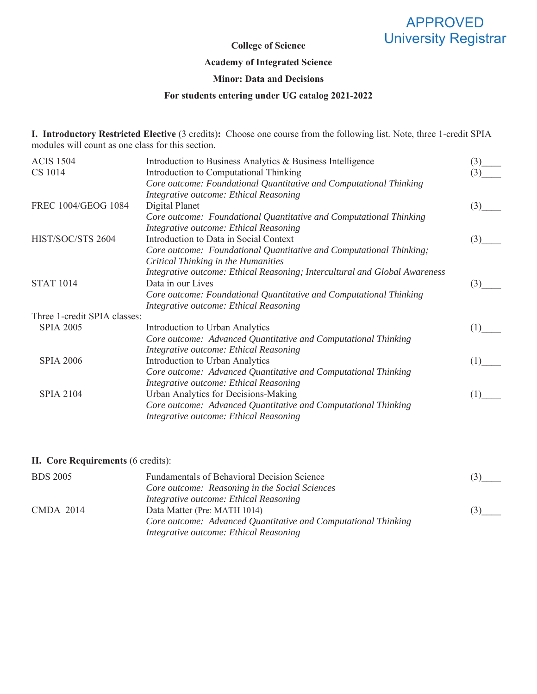# APPROVED University Registrar

## **College of Science**

#### **Academy of Integrated Science**

## **Minor: Data and Decisions**

### **For students entering under UG catalog 2021-2022**

**I. Introductory Restricted Elective** (3 credits)**:** Choose one course from the following list. Note, three 1-credit SPIA modules will count as one class for this section.

| <b>ACIS 1504</b>             | Introduction to Business Analytics & Business Intelligence                 | (3) |
|------------------------------|----------------------------------------------------------------------------|-----|
| CS 1014                      | Introduction to Computational Thinking                                     | (3) |
|                              | Core outcome: Foundational Quantitative and Computational Thinking         |     |
|                              | Integrative outcome: Ethical Reasoning                                     |     |
| FREC 1004/GEOG 1084          | Digital Planet                                                             | (3) |
|                              | Core outcome: Foundational Quantitative and Computational Thinking         |     |
|                              | Integrative outcome: Ethical Reasoning                                     |     |
| HIST/SOC/STS 2604            | Introduction to Data in Social Context                                     | (3) |
|                              | Core outcome: Foundational Quantitative and Computational Thinking;        |     |
|                              | Critical Thinking in the Humanities                                        |     |
|                              | Integrative outcome: Ethical Reasoning; Intercultural and Global Awareness |     |
| <b>STAT 1014</b>             | Data in our Lives                                                          | (3) |
|                              | Core outcome: Foundational Quantitative and Computational Thinking         |     |
|                              | Integrative outcome: Ethical Reasoning                                     |     |
| Three 1-credit SPIA classes: |                                                                            |     |
| <b>SPIA 2005</b>             | Introduction to Urban Analytics                                            | (1) |
|                              | Core outcome: Advanced Quantitative and Computational Thinking             |     |
|                              | Integrative outcome: Ethical Reasoning                                     |     |
| <b>SPIA 2006</b>             | Introduction to Urban Analytics                                            | (1) |
|                              | Core outcome: Advanced Quantitative and Computational Thinking             |     |
|                              | Integrative outcome: Ethical Reasoning                                     |     |
| <b>SPIA 2104</b>             | Urban Analytics for Decisions-Making                                       | (T  |
|                              | Core outcome: Advanced Quantitative and Computational Thinking             |     |
|                              | Integrative outcome: Ethical Reasoning                                     |     |
|                              |                                                                            |     |

### **II. Core Requirements** (6 credits):

| <b>BDS 2005</b>  | <b>Fundamentals of Behavioral Decision Science</b>             | (3) |
|------------------|----------------------------------------------------------------|-----|
|                  | Core outcome: Reasoning in the Social Sciences                 |     |
|                  | Integrative outcome: Ethical Reasoning                         |     |
| <b>CMDA 2014</b> | Data Matter (Pre: MATH 1014)                                   | (3) |
|                  | Core outcome: Advanced Quantitative and Computational Thinking |     |
|                  | Integrative outcome: Ethical Reasoning                         |     |